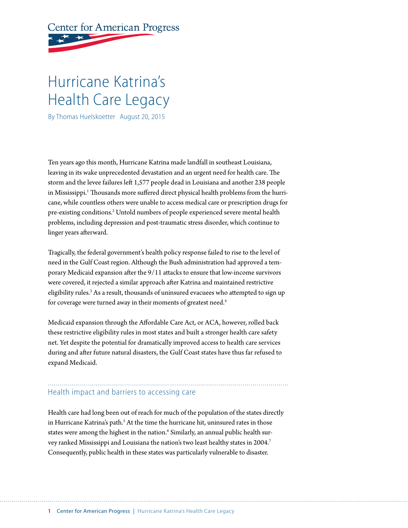# **Center for American Progress**

# Hurricane Katrina's Health Care Legacy

By Thomas Huelskoetter August 20, 2015

Ten years ago this month, Hurricane Katrina made landfall in southeast Louisiana, leaving in its wake unprecedented devastation and an urgent need for health care. The storm and the levee failures left 1,577 people dead in Louisiana and another 238 people in Mississippi.<sup>1</sup> Thousands more suffered direct physical health problems from the hurricane, while countless others were unable to access medical care or prescription drugs for pre-existing conditions.<sup>2</sup> Untold numbers of people experienced severe mental health problems, including depression and post-traumatic stress disorder, which continue to linger years afterward.

Tragically, the federal government's health policy response failed to rise to the level of need in the Gulf Coast region. Although the Bush administration had approved a temporary Medicaid expansion after the 9/11 attacks to ensure that low-income survivors were covered, it rejected a similar approach after Katrina and maintained restrictive eligibility rules.<sup>3</sup> As a result, thousands of uninsured evacuees who attempted to sign up for coverage were turned away in their moments of greatest need.<sup>4</sup>

Medicaid expansion through the Affordable Care Act, or ACA, however, rolled back these restrictive eligibility rules in most states and built a stronger health care safety net. Yet despite the potential for dramatically improved access to health care services during and after future natural disasters, the Gulf Coast states have thus far refused to expand Medicaid.

# Health impact and barriers to accessing care

Health care had long been out of reach for much of the population of the states directly in Hurricane Katrina's path.<sup>5</sup> At the time the hurricane hit, uninsured rates in those states were among the highest in the nation. $^{\rm 6}$  Similarly, an annual public health survey ranked Mississippi and Louisiana the nation's two least healthy states in 2004.7 Consequently, public health in these states was particularly vulnerable to disaster.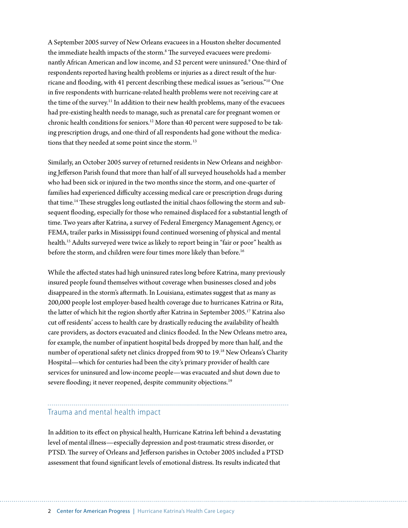A September 2005 survey of New Orleans evacuees in a Houston shelter documented the immediate health impacts of the storm.<sup>8</sup> The surveyed evacuees were predominantly African American and low income, and 52 percent were uninsured.9 One-third of respondents reported having health problems or injuries as a direct result of the hurricane and flooding, with 41 percent describing these medical issues as "serious."10 One in five respondents with hurricane-related health problems were not receiving care at the time of the survey.<sup>11</sup> In addition to their new health problems, many of the evacuees had pre-existing health needs to manage, such as prenatal care for pregnant women or chronic health conditions for seniors.12 More than 40 percent were supposed to be taking prescription drugs, and one-third of all respondents had gone without the medications that they needed at some point since the storm. 13

Similarly, an October 2005 survey of returned residents in New Orleans and neighboring Jefferson Parish found that more than half of all surveyed households had a member who had been sick or injured in the two months since the storm, and one-quarter of families had experienced difficulty accessing medical care or prescription drugs during that time.<sup>14</sup> These struggles long outlasted the initial chaos following the storm and subsequent flooding, especially for those who remained displaced for a substantial length of time. Two years after Katrina, a survey of Federal Emergency Management Agency, or FEMA, trailer parks in Mississippi found continued worsening of physical and mental health.<sup>15</sup> Adults surveyed were twice as likely to report being in "fair or poor" health as before the storm, and children were four times more likely than before.<sup>16</sup>

While the affected states had high uninsured rates long before Katrina, many previously insured people found themselves without coverage when businesses closed and jobs disappeared in the storm's aftermath. In Louisiana, estimates suggest that as many as 200,000 people lost employer-based health coverage due to hurricanes Katrina or Rita, the latter of which hit the region shortly after Katrina in September 2005.17 Katrina also cut off residents' access to health care by drastically reducing the availability of health care providers, as doctors evacuated and clinics flooded. In the New Orleans metro area, for example, the number of inpatient hospital beds dropped by more than half, and the number of operational safety net clinics dropped from 90 to 19.<sup>18</sup> New Orleans's Charity Hospital—which for centuries had been the city's primary provider of health care services for uninsured and low-income people—was evacuated and shut down due to severe flooding; it never reopened, despite community objections.<sup>19</sup>

#### Trauma and mental health impact

In addition to its effect on physical health, Hurricane Katrina left behind a devastating level of mental illness—especially depression and post-traumatic stress disorder, or PTSD. The survey of Orleans and Jefferson parishes in October 2005 included a PTSD assessment that found significant levels of emotional distress. Its results indicated that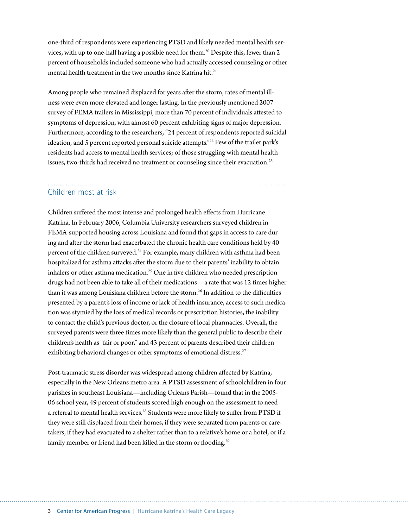one-third of respondents were experiencing PTSD and likely needed mental health services, with up to one-half having a possible need for them.<sup>20</sup> Despite this, fewer than 2 percent of households included someone who had actually accessed counseling or other mental health treatment in the two months since Katrina hit. $21$ 

Among people who remained displaced for years after the storm, rates of mental illness were even more elevated and longer lasting. In the previously mentioned 2007 survey of FEMA trailers in Mississippi, more than 70 percent of individuals attested to symptoms of depression, with almost 60 percent exhibiting signs of major depression. Furthermore, according to the researchers, "24 percent of respondents reported suicidal ideation, and 5 percent reported personal suicide attempts."<sup>22</sup> Few of the trailer park's residents had access to mental health services; of those struggling with mental health issues, two-thirds had received no treatment or counseling since their evacuation.<sup>23</sup>

#### Children most at risk

Children suffered the most intense and prolonged health effects from Hurricane Katrina. In February 2006, Columbia University researchers surveyed children in FEMA-supported housing across Louisiana and found that gaps in access to care during and after the storm had exacerbated the chronic health care conditions held by 40 percent of the children surveyed.<sup>24</sup> For example, many children with asthma had been hospitalized for asthma attacks after the storm due to their parents' inability to obtain inhalers or other asthma medication.<sup>25</sup> One in five children who needed prescription drugs had not been able to take all of their medications—a rate that was 12 times higher than it was among Louisiana children before the storm.<sup>26</sup> In addition to the difficulties presented by a parent's loss of income or lack of health insurance, access to such medication was stymied by the loss of medical records or prescription histories, the inability to contact the child's previous doctor, or the closure of local pharmacies. Overall, the surveyed parents were three times more likely than the general public to describe their children's health as "fair or poor," and 43 percent of parents described their children exhibiting behavioral changes or other symptoms of emotional distress.<sup>27</sup>

Post-traumatic stress disorder was widespread among children affected by Katrina, especially in the New Orleans metro area. A PTSD assessment of schoolchildren in four parishes in southeast Louisiana—including Orleans Parish—found that in the 2005- 06 school year, 49 percent of students scored high enough on the assessment to need a referral to mental health services.<sup>28</sup> Students were more likely to suffer from PTSD if they were still displaced from their homes, if they were separated from parents or caretakers, if they had evacuated to a shelter rather than to a relative's home or a hotel, or if a family member or friend had been killed in the storm or flooding.<sup>29</sup>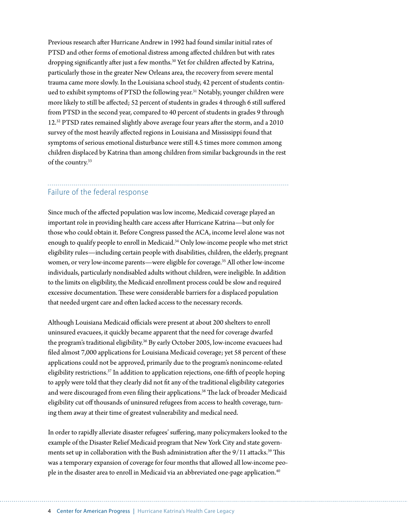Previous research after Hurricane Andrew in 1992 had found similar initial rates of PTSD and other forms of emotional distress among affected children but with rates dropping significantly after just a few months.<sup>30</sup> Yet for children affected by Katrina, particularly those in the greater New Orleans area, the recovery from severe mental trauma came more slowly. In the Louisiana school study, 42 percent of students continued to exhibit symptoms of PTSD the following year.<sup>31</sup> Notably, younger children were more likely to still be affected; 52 percent of students in grades 4 through 6 still suffered from PTSD in the second year, compared to 40 percent of students in grades 9 through 12.32 PTSD rates remained slightly above average four years after the storm, and a 2010 survey of the most heavily affected regions in Louisiana and Mississippi found that symptoms of serious emotional disturbance were still 4.5 times more common among children displaced by Katrina than among children from similar backgrounds in the rest of the country.33

## Failure of the federal response

Since much of the affected population was low income, Medicaid coverage played an important role in providing health care access after Hurricane Katrina—but only for those who could obtain it. Before Congress passed the ACA, income level alone was not enough to qualify people to enroll in Medicaid.34 Only low-income people who met strict eligibility rules—including certain people with disabilities, children, the elderly, pregnant women, or very low-income parents—were eligible for coverage.<sup>35</sup> All other low-income individuals, particularly nondisabled adults without children, were ineligible. In addition to the limits on eligibility, the Medicaid enrollment process could be slow and required excessive documentation. These were considerable barriers for a displaced population that needed urgent care and often lacked access to the necessary records.

Although Louisiana Medicaid officials were present at about 200 shelters to enroll uninsured evacuees, it quickly became apparent that the need for coverage dwarfed the program's traditional eligibility.<sup>36</sup> By early October 2005, low-income evacuees had filed almost 7,000 applications for Louisiana Medicaid coverage; yet 58 percent of these applications could not be approved, primarily due to the program's nonincome-related eligibility restrictions.<sup>37</sup> In addition to application rejections, one-fifth of people hoping to apply were told that they clearly did not fit any of the traditional eligibility categories and were discouraged from even filing their applications.<sup>38</sup> The lack of broader Medicaid eligibility cut off thousands of uninsured refugees from access to health coverage, turning them away at their time of greatest vulnerability and medical need.

In order to rapidly alleviate disaster refugees' suffering, many policymakers looked to the example of the Disaster Relief Medicaid program that New York City and state governments set up in collaboration with the Bush administration after the 9/11 attacks.<sup>39</sup> This was a temporary expansion of coverage for four months that allowed all low-income people in the disaster area to enroll in Medicaid via an abbreviated one-page application.<sup>40</sup>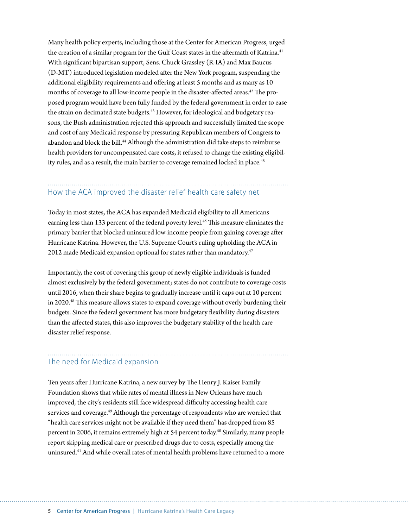Many health policy experts, including those at the Center for American Progress, urged the creation of a similar program for the Gulf Coast states in the aftermath of Katrina.<sup>41</sup> With significant bipartisan support, Sens. Chuck Grassley (R-IA) and Max Baucus (D-MT) introduced legislation modeled after the New York program, suspending the additional eligibility requirements and offering at least 5 months and as many as 10 months of coverage to all low-income people in the disaster-affected areas.<sup>42</sup> The proposed program would have been fully funded by the federal government in order to ease the strain on decimated state budgets.<sup>43</sup> However, for ideological and budgetary reasons, the Bush administration rejected this approach and successfully limited the scope and cost of any Medicaid response by pressuring Republican members of Congress to abandon and block the bill.<sup>44</sup> Although the administration did take steps to reimburse health providers for uncompensated care costs, it refused to change the existing eligibility rules, and as a result, the main barrier to coverage remained locked in place.<sup>45</sup>

### How the ACA improved the disaster relief health care safety net

Today in most states, the ACA has expanded Medicaid eligibility to all Americans earning less than 133 percent of the federal poverty level.<sup>46</sup> This measure eliminates the primary barrier that blocked uninsured low-income people from gaining coverage after Hurricane Katrina. However, the U.S. Supreme Court's ruling upholding the ACA in 2012 made Medicaid expansion optional for states rather than mandatory.<sup>47</sup>

Importantly, the cost of covering this group of newly eligible individuals is funded almost exclusively by the federal government; states do not contribute to coverage costs until 2016, when their share begins to gradually increase until it caps out at 10 percent in 2020.48 This measure allows states to expand coverage without overly burdening their budgets. Since the federal government has more budgetary flexibility during disasters than the affected states, this also improves the budgetary stability of the health care disaster relief response.

#### The need for Medicaid expansion

Ten years after Hurricane Katrina, a new survey by The Henry J. Kaiser Family Foundation shows that while rates of mental illness in New Orleans have much improved, the city's residents still face widespread difficulty accessing health care services and coverage.<sup>49</sup> Although the percentage of respondents who are worried that "health care services might not be available if they need them" has dropped from 85 percent in 2006, it remains extremely high at 54 percent today.50 Similarly, many people report skipping medical care or prescribed drugs due to costs, especially among the uninsured.51 And while overall rates of mental health problems have returned to a more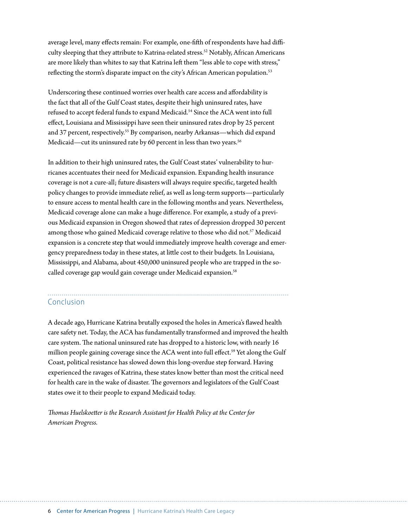average level, many effects remain: For example, one-fifth of respondents have had difficulty sleeping that they attribute to Katrina-related stress.<sup>52</sup> Notably, African Americans are more likely than whites to say that Katrina left them "less able to cope with stress," reflecting the storm's disparate impact on the city's African American population.<sup>53</sup>

Underscoring these continued worries over health care access and affordability is the fact that all of the Gulf Coast states, despite their high uninsured rates, have refused to accept federal funds to expand Medicaid.<sup>54</sup> Since the ACA went into full effect, Louisiana and Mississippi have seen their uninsured rates drop by 25 percent and 37 percent, respectively.<sup>55</sup> By comparison, nearby Arkansas—which did expand Medicaid—cut its uninsured rate by 60 percent in less than two years.<sup>56</sup>

In addition to their high uninsured rates, the Gulf Coast states' vulnerability to hurricanes accentuates their need for Medicaid expansion. Expanding health insurance coverage is not a cure-all; future disasters will always require specific, targeted health policy changes to provide immediate relief, as well as long-term supports—particularly to ensure access to mental health care in the following months and years. Nevertheless, Medicaid coverage alone can make a huge difference. For example, a study of a previous Medicaid expansion in Oregon showed that rates of depression dropped 30 percent among those who gained Medicaid coverage relative to those who did not.<sup>57</sup> Medicaid expansion is a concrete step that would immediately improve health coverage and emergency preparedness today in these states, at little cost to their budgets. In Louisiana, Mississippi, and Alabama, about 450,000 uninsured people who are trapped in the socalled coverage gap would gain coverage under Medicaid expansion.<sup>58</sup>

#### Conclusion

A decade ago, Hurricane Katrina brutally exposed the holes in America's flawed health care safety net. Today, the ACA has fundamentally transformed and improved the health care system. The national uninsured rate has dropped to a historic low, with nearly 16 million people gaining coverage since the ACA went into full effect.<sup>59</sup> Yet along the Gulf Coast, political resistance has slowed down this long-overdue step forward. Having experienced the ravages of Katrina, these states know better than most the critical need for health care in the wake of disaster. The governors and legislators of the Gulf Coast states owe it to their people to expand Medicaid today.

*Thomas Huelskoetter is the Research Assistant for Health Policy at the Center for American Progress.*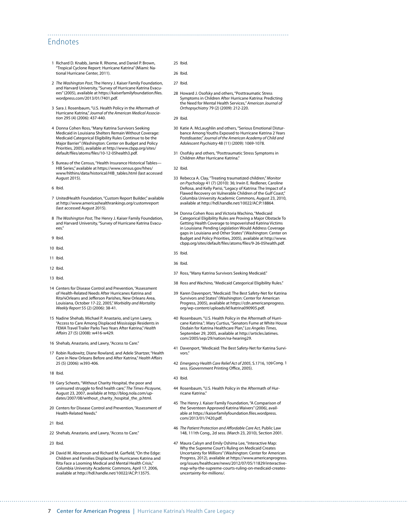#### Endnotes

- 1 Richard D. Knabb, Jamie R. Rhome, and Daniel P. Brown, "Tropical Cyclone Report: Hurricane Katrina" (Miami: National Hurricane Center, 2011).
- 2 *The Washington Post*, The Henry J. Kaiser Family Foundation, and Harvard University, "Survey of Hurricane Katrina Evacuees" (2005), available at [https://kaiserfamilyfoundation.files.](https://kaiserfamilyfoundation.files.wordpress.com/2013/01/7401.pdf) [wordpress.com/2013/01/7401.pdf.](https://kaiserfamilyfoundation.files.wordpress.com/2013/01/7401.pdf)
- 3 Sara J. Rosenbaum, "U.S. Health Policy in the Aftermath of Hurricane Katrina," *Journal of the American Medical Association* 295 (4) (2006): 437-440.
- 4 Donna Cohen Ross, "Many Katrina Survivors Seeking Medicaid in Louisiana Shelters Remain Without Coverage: Medicaid Categorical Eligibility Rules Continue to be the Major Barrier" (Washington: Center on Budget and Policy Priorities, 2005), available at [http://www.cbpp.org/sites/](http://www.cbpp.org/sites/default/files/atoms/files/10-12-05health3.pdf) [default/files/atoms/files/10-12-05health3.pdf](http://www.cbpp.org/sites/default/files/atoms/files/10-12-05health3.pdf).
- 5 Bureau of the Census, "Health Insurance Historical Tables— HIB Series," available at https://www.census.gov/hhes/ www/hlthins/data/historical/HIB\_tables.html (last accessed August 2015).
- 6 Ibid.
- 7 UnitedHealth Foundation, "Custom Report Builder," available at <http://www.americashealthrankings.org/customreport> (last accessed August 2015).
- 8 *The Washington Post*, The Henry J. Kaiser Family Foundation, and Harvard University, "Survey of Hurricane Katrina Evacu- $P^{\alpha}$
- 9 Ibid.
- 10 Ibid.
- 11 Ibid.
- 12 Ibid.
- 13 Ibid.
- 14 Centers for Disease Control and Prevention, "Assessment of Health-Related Needs After Hurricanes Katrina and Rita¾Orleans and Jefferson Parishes, New Orleans Area, Louisiana, October 17-22, 2005," *Morbidity and Mortality Weekly Report* 55 (2) (2006): 38-41.
- 15 Nadine Shehab, Michael P. Anastario, and Lynn Lawry, "Access to Care Among Displaced Mississippi Residents in FEMA Travel Trailer Parks Two Years After Katrina," *Health Affairs* 27 (5) (2008): w416-w429.
- 16 Shehab, Anastario, and Lawry, "Access to Care."
- 17 Robin Rudowitz, Diane Rowland, and Adele Shartzer, "Health Care in New Orleans Before and After Katrina," *Health Affairs* 25 (5) (2006): w393-406.
- 18 Ibid.
- 19 Gary Scheets, "Without Charity Hospital, the poor and uninsured struggle to find health care," *The Times-Picayune*, August 23, 2007, available at [http://blog.nola.com/up](http://blog.nola.com/updates/2007/08/without_charity_hospital_the_p.html)dates/2007/08/without charity hospital the p.html.
- 20 Centers for Disease Control and Prevention, "Assessment of Health-Related Needs."
- 21 Ibid.
- 22 Shehab, Anastario, and Lawry, "Access to Care."
- 23 Ibid.
- 24 David M. Abramson and Richard M. Garfield, "On the Edge: Children and Families Displaced by Hurricanes Katrina and Rita Face a Looming Medical and Mental Health Crisis," Columbia University Academic Commons, April 17, 2006, available at<http://hdl.handle.net/10022/AC:P:13575>.
- 25 Ibid.
- 26 Ibid.

- 27 Ibid.
- 28 Howard J. Osofsky and others, "Posttraumatic Stress Symptoms in Children After Hurricane Katrina: Predicting the Need for Mental Health Services*," American Journal of Orthopsychiatry* 79 (2) (2009): 212-220.
- 29 Ibid.
- 30 Katie A. McLaughlin and others, "Serious Emotional Disturbance Among Youths Exposed to Hurricane Katrina 2 Years Postdisaster," *Journal of the American Academy of Child and Adolescent Psychiatry* 48 (11) (2009): 1069-1078.
- 31 Osofsky and others, "Posttraumatic Stress Symptoms in Children After Hurricane Katrina."
- 32 Ibid.
- 33 Rebecca A. Clay, "Treating traumatized children," *Monitor on Psychology* 41 (7) (2010): 36; Irwin E. Redlener, Caroline DeRosa, and Kelly Parisi, "Legacy of Katrina: The Impact of a Flawed Recovery on Vulnerable Children of the Gulf Coast," Columbia University Academic Commons, August 23, 2010, available at<http://hdl.handle.net/10022/AC:P:18864>.
- 34 Donna Cohen Ross and Victoria Wachino, "Medicaid Categorical Eligibility Rules are Proving a Major Obstacle To Getting Health Coverage to Impoverished Katrina Victims in Louisiana: Pending Legislation Would Address Coverage gaps in Louisiana and Other States" (Washington: Center on Budget and Policy Priorities, 2005), available at [http://www.](http://www.cbpp.org/sites/default/files/atoms/files/9-26-05health.pdf) [cbpp.org/sites/default/files/atoms/files/9-26-05health.pdf](http://www.cbpp.org/sites/default/files/atoms/files/9-26-05health.pdf).
- 35 Ibid.
- 36 Ibid.
- 37 Ross, "Many Katrina Survivors Seeking Medicaid."
- 38 Ross and Wachino, "Medicaid Categorical Eligibility Rules."
- 39 Karen Davenport, "Medicaid: The Best Safety-Net for Katrina Survivors and States" (Washington: Center for American Progress, 2005), available at [https://cdn.americanprogress.](https://cdn.americanprogress.org/wp-content/uploads/kf/katrina090905.pdf) [org/wp-content/uploads/kf/katrina090905.pdf](https://cdn.americanprogress.org/wp-content/uploads/kf/katrina090905.pdf).
- 40 Rosenbaum, "U.S. Health Policy in the Aftermath of Hurricane Katrina."; Mary Curtius, "Senators Fume at White House Disdain for Katrina Healthcare Plan," *Los Angeles Times*, September 29, 2005, available at [http://articles.latimes.](http://articles.latimes.com/2005/sep/29/nation/na-hearing29) [com/2005/sep/29/nation/na-hearing29.](http://articles.latimes.com/2005/sep/29/nation/na-hearing29)
- 41 Davenport, "Medicaid: The Best Safety-Net for Katrina Survivors."
- 42 *Emergency Health Care Relief Act of 2005*, S.1716, 109Cong. 1 sess. (Government Printing Office, 2005).
- 43 Ibid.
- 44 Rosenbaum, "U.S. Health Policy in the Aftermath of Hurricane Katrina."
- 45 The Henry J. Kaiser Family Foundation, "A Comparison of the Seventeen Approved Katrina Waivers" (2006), available at [https://kaiserfamilyfoundation.files.wordpress.](https://kaiserfamilyfoundation.files.wordpress.com/2013/01/7420.pdf) [com/2013/01/7420.pdf.](https://kaiserfamilyfoundation.files.wordpress.com/2013/01/7420.pdf)
- 46 *The Patient Protection and Affordable Care Act*, Public Law 148, 111th Cong., 2d sess. (March 23, 2010), Section 2001.
- 47 Maura Calsyn and Emily Oshima Lee, "Interactive Map: Why the Supreme Court's Ruling on Medicaid Creates Uncertainty for Millions" (Washington: Center for American Progress, 2012), available at [https://www.americanprogress.](https://www.americanprogress.org/issues/healthcare/news/2012/07/05/11829/interactive-map-why-the-supreme-courts-ruling-on-medicaid-creates-uncertainty-for-millions/) [org/issues/healthcare/news/2012/07/05/11829/interactive](https://www.americanprogress.org/issues/healthcare/news/2012/07/05/11829/interactive-map-why-the-supreme-courts-ruling-on-medicaid-creates-uncertainty-for-millions/)[map-why-the-supreme-courts-ruling-on-medicaid-creates](https://www.americanprogress.org/issues/healthcare/news/2012/07/05/11829/interactive-map-why-the-supreme-courts-ruling-on-medicaid-creates-uncertainty-for-millions/)[uncertainty-for-millions/](https://www.americanprogress.org/issues/healthcare/news/2012/07/05/11829/interactive-map-why-the-supreme-courts-ruling-on-medicaid-creates-uncertainty-for-millions/).